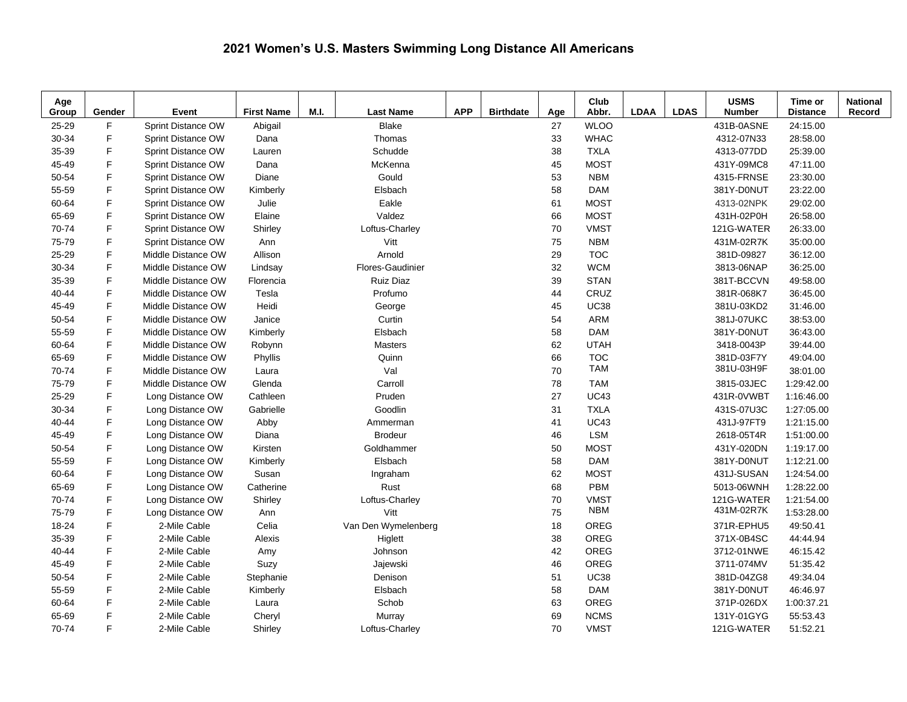## **2021 Women's U.S. Masters Swimming Long Distance All Americans**

| Age<br>Group | Gender | Event              | <b>First Name</b> | M.I. | <b>Last Name</b>    | <b>APP</b> | <b>Birthdate</b> | Age | Club<br>Abbr. | <b>LDAA</b> | <b>LDAS</b> | <b>USMS</b><br><b>Number</b> | Time or<br><b>Distance</b> | <b>National</b><br>Record |
|--------------|--------|--------------------|-------------------|------|---------------------|------------|------------------|-----|---------------|-------------|-------------|------------------------------|----------------------------|---------------------------|
| 25-29        | F.     | Sprint Distance OW | Abigail           |      | <b>Blake</b>        |            |                  | 27  | <b>WLOO</b>   |             |             | 431B-0ASNE                   | 24:15.00                   |                           |
| 30-34        | F      | Sprint Distance OW | Dana              |      | Thomas              |            |                  | 33  | <b>WHAC</b>   |             |             | 4312-07N33                   | 28:58.00                   |                           |
| 35-39        | E      | Sprint Distance OW | Lauren            |      | Schudde             |            |                  | 38  | <b>TXLA</b>   |             |             | 4313-077DD                   | 25:39.00                   |                           |
| 45-49        | E      | Sprint Distance OW | Dana              |      | McKenna             |            |                  | 45  | <b>MOST</b>   |             |             | 431Y-09MC8                   | 47:11.00                   |                           |
| 50-54        | F      | Sprint Distance OW | Diane             |      | Gould               |            |                  | 53  | <b>NBM</b>    |             |             | 4315-FRNSE                   | 23:30.00                   |                           |
| 55-59        | F      | Sprint Distance OW | Kimberly          |      | Elsbach             |            |                  | 58  | <b>DAM</b>    |             |             | 381Y-D0NUT                   | 23:22.00                   |                           |
| 60-64        | F      | Sprint Distance OW | Julie             |      | Eakle               |            |                  | 61  | <b>MOST</b>   |             |             | 4313-02NPK                   | 29:02.00                   |                           |
| 65-69        | F      | Sprint Distance OW | Elaine            |      | Valdez              |            |                  | 66  | <b>MOST</b>   |             |             | 431H-02P0H                   | 26:58.00                   |                           |
| 70-74        | F      | Sprint Distance OW | Shirley           |      | Loftus-Charley      |            |                  | 70  | <b>VMST</b>   |             |             | 121G-WATER                   | 26:33.00                   |                           |
| 75-79        | F      | Sprint Distance OW | Ann               |      | Vitt                |            |                  | 75  | <b>NBM</b>    |             |             | 431M-02R7K                   | 35:00.00                   |                           |
| 25-29        | F      | Middle Distance OW | Allison           |      | Arnold              |            |                  | 29  | <b>TOC</b>    |             |             | 381D-09827                   | 36:12.00                   |                           |
| 30-34        | F      | Middle Distance OW | Lindsay           |      | Flores-Gaudinier    |            |                  | 32  | <b>WCM</b>    |             |             | 3813-06NAP                   | 36:25.00                   |                           |
| 35-39        | F      | Middle Distance OW | Florencia         |      | <b>Ruiz Diaz</b>    |            |                  | 39  | <b>STAN</b>   |             |             | 381T-BCCVN                   | 49:58.00                   |                           |
| $40 - 44$    | F      | Middle Distance OW | Tesla             |      | Profumo             |            |                  | 44  | CRUZ          |             |             | 381R-068K7                   | 36:45.00                   |                           |
| 45-49        | F      | Middle Distance OW | Heidi             |      | George              |            |                  | 45  | <b>UC38</b>   |             |             | 381U-03KD2                   | 31:46.00                   |                           |
| 50-54        | F.     | Middle Distance OW | Janice            |      | Curtin              |            |                  | 54  | <b>ARM</b>    |             |             | 381J-07UKC                   | 38:53.00                   |                           |
| 55-59        | F      | Middle Distance OW | Kimberly          |      | Elsbach             |            |                  | 58  | <b>DAM</b>    |             |             | 381Y-D0NUT                   | 36:43.00                   |                           |
| 60-64        | F.     | Middle Distance OW | Robynn            |      | <b>Masters</b>      |            |                  | 62  | <b>UTAH</b>   |             |             | 3418-0043P                   | 39:44.00                   |                           |
| 65-69        | F.     | Middle Distance OW | Phyllis           |      | Quinn               |            |                  | 66  | <b>TOC</b>    |             |             | 381D-03F7Y                   | 49:04.00                   |                           |
| 70-74        | F.     | Middle Distance OW | Laura             |      | Val                 |            |                  | 70  | <b>TAM</b>    |             |             | 381U-03H9F                   | 38:01.00                   |                           |
| 75-79        | F      | Middle Distance OW | Glenda            |      | Carroll             |            |                  | 78  | <b>TAM</b>    |             |             | 3815-03JEC                   | 1:29:42.00                 |                           |
| 25-29        | F      | Long Distance OW   | Cathleen          |      | Pruden              |            |                  | 27  | <b>UC43</b>   |             |             | 431R-0VWBT                   | 1:16:46.00                 |                           |
| 30-34        | F      | Long Distance OW   | Gabrielle         |      | Goodlin             |            |                  | 31  | <b>TXLA</b>   |             |             | 431S-07U3C                   | 1:27:05.00                 |                           |
| 40-44        | F      | Long Distance OW   | Abby              |      | Ammerman            |            |                  | 41  | <b>UC43</b>   |             |             | 431J-97FT9                   | 1:21:15.00                 |                           |
| 45-49        | F      | Long Distance OW   | Diana             |      | <b>Brodeur</b>      |            |                  | 46  | <b>LSM</b>    |             |             | 2618-05T4R                   | 1:51:00.00                 |                           |
| 50-54        | F      | Long Distance OW   | Kirsten           |      | Goldhammer          |            |                  | 50  | <b>MOST</b>   |             |             | 431Y-020DN                   | 1:19:17.00                 |                           |
| 55-59        | F      | Long Distance OW   | Kimberly          |      | Elsbach             |            |                  | 58  | <b>DAM</b>    |             |             | 381Y-D0NUT                   | 1:12:21.00                 |                           |
| 60-64        | F      | Long Distance OW   | Susan             |      | Ingraham            |            |                  | 62  | <b>MOST</b>   |             |             | 431J-SUSAN                   | 1:24:54.00                 |                           |
| 65-69        | F      | Long Distance OW   | Catherine         |      | Rust                |            |                  | 68  | <b>PBM</b>    |             |             | 5013-06WNH                   | 1:28:22.00                 |                           |
| 70-74        | F      | Long Distance OW   | Shirley           |      | Loftus-Charley      |            |                  | 70  | <b>VMST</b>   |             |             | 121G-WATER                   | 1:21:54.00                 |                           |
| 75-79        | F      | Long Distance OW   | Ann               |      | Vitt                |            |                  | 75  | <b>NBM</b>    |             |             | 431M-02R7K                   | 1:53:28.00                 |                           |
| 18-24        | F      | 2-Mile Cable       | Celia             |      | Van Den Wymelenberg |            |                  | 18  | OREG          |             |             | 371R-EPHU5                   | 49:50.41                   |                           |
| 35-39        | F      | 2-Mile Cable       | Alexis            |      | Higlett             |            |                  | 38  | OREG          |             |             | 371X-0B4SC                   | 44:44.94                   |                           |
| 40-44        | F      | 2-Mile Cable       | Amy               |      | Johnson             |            |                  | 42  | OREG          |             |             | 3712-01NWE                   | 46:15.42                   |                           |
| 45-49        | F      | 2-Mile Cable       | Suzy              |      | Jajewski            |            |                  | 46  | OREG          |             |             | 3711-074MV                   | 51:35.42                   |                           |
| 50-54        | F      | 2-Mile Cable       | Stephanie         |      | Denison             |            |                  | 51  | <b>UC38</b>   |             |             | 381D-04ZG8                   | 49:34.04                   |                           |
| 55-59        | F      | 2-Mile Cable       | Kimberly          |      | Elsbach             |            |                  | 58  | <b>DAM</b>    |             |             | 381Y-D0NUT                   | 46:46.97                   |                           |
| 60-64        | F      | 2-Mile Cable       | Laura             |      | Schob               |            |                  | 63  | OREG          |             |             | 371P-026DX                   | 1:00:37.21                 |                           |
| 65-69        | F      | 2-Mile Cable       | Cheryl            |      | Murray              |            |                  | 69  | <b>NCMS</b>   |             |             | 131Y-01GYG                   | 55:53.43                   |                           |
| 70-74        | F      | 2-Mile Cable       | Shirley           |      | Loftus-Charley      |            |                  | 70  | <b>VMST</b>   |             |             | 121G-WATER                   | 51:52.21                   |                           |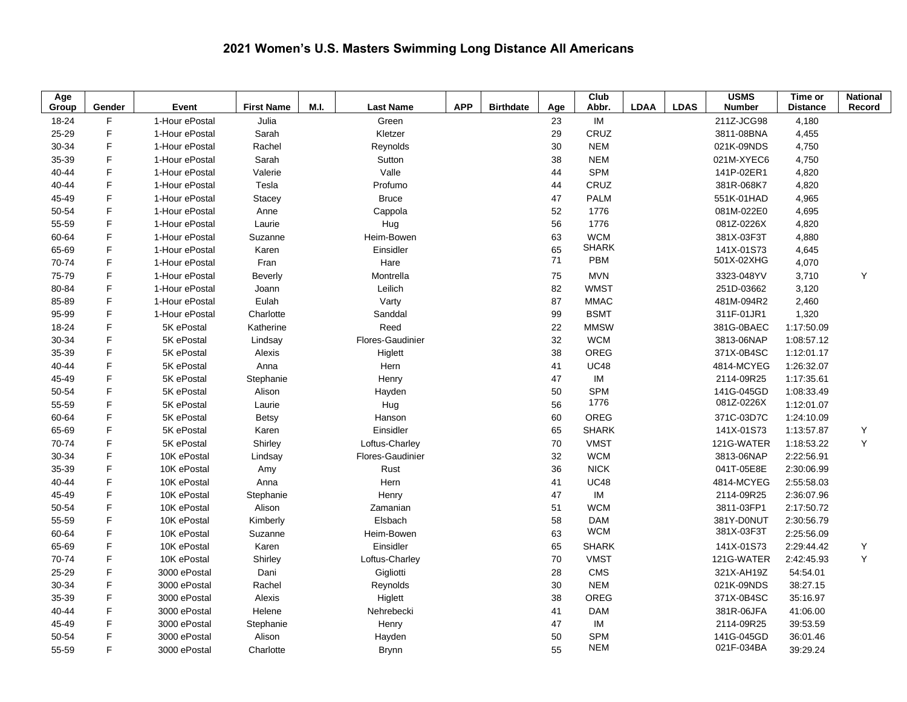## **2021 Women's U.S. Masters Swimming Long Distance All Americans**

| Age   |              |                         |                   |      |                  |            |                  |          | Club                       |             |             | <b>USMS</b>              | Time or         | <b>National</b> |
|-------|--------------|-------------------------|-------------------|------|------------------|------------|------------------|----------|----------------------------|-------------|-------------|--------------------------|-----------------|-----------------|
| Group | Gender<br>F  | Event<br>1-Hour ePostal | <b>First Name</b> | M.I. | <b>Last Name</b> | <b>APP</b> | <b>Birthdate</b> | Age      | Abbr.                      | <b>LDAA</b> | <b>LDAS</b> | <b>Number</b>            | <b>Distance</b> | Record          |
| 18-24 | $\mathsf F$  |                         | Julia             |      | Green            |            |                  | 23       | IM<br>CRUZ                 |             |             | 211Z-JCG98               | 4,180           |                 |
| 25-29 | F            | 1-Hour ePostal          | Sarah             |      | Kletzer          |            |                  | 29       |                            |             |             | 3811-08BNA               | 4,455           |                 |
| 30-34 | F            | 1-Hour ePostal          | Rachel            |      | Reynolds         |            |                  | 30       | <b>NEM</b>                 |             |             | 021K-09NDS               | 4,750           |                 |
| 35-39 | $\mathsf F$  | 1-Hour ePostal          | Sarah             |      | Sutton           |            |                  | 38       | <b>NEM</b>                 |             |             | 021M-XYEC6               | 4,750           |                 |
| 40-44 | F            | 1-Hour ePostal          | Valerie           |      | Valle            |            |                  | 44       | <b>SPM</b>                 |             |             | 141P-02ER1               | 4,820           |                 |
| 40-44 |              | 1-Hour ePostal          | Tesla             |      | Profumo          |            |                  | 44       | CRUZ                       |             |             | 381R-068K7               | 4,820           |                 |
| 45-49 | F<br>F       | 1-Hour ePostal          | Stacey            |      | <b>Bruce</b>     |            |                  | 47       | <b>PALM</b>                |             |             | 551K-01HAD               | 4,965           |                 |
| 50-54 |              | 1-Hour ePostal          | Anne              |      | Cappola          |            |                  | 52       | 1776                       |             |             | 081M-022E0               | 4,695           |                 |
| 55-59 | F            | 1-Hour ePostal          | Laurie            |      | Hug              |            |                  | 56       | 1776                       |             |             | 081Z-0226X               | 4,820           |                 |
| 60-64 | F            | 1-Hour ePostal          | Suzanne           |      | Heim-Bowen       |            |                  | 63       | <b>WCM</b><br><b>SHARK</b> |             |             | 381X-03F3T               | 4,880           |                 |
| 65-69 | F            | 1-Hour ePostal          | Karen             |      | Einsidler        |            |                  | 65<br>71 | PBM                        |             |             | 141X-01S73<br>501X-02XHG | 4,645           |                 |
| 70-74 | F            | 1-Hour ePostal          | Fran              |      | Hare             |            |                  |          |                            |             |             |                          | 4,070           |                 |
| 75-79 | F            | 1-Hour ePostal          | <b>Beverly</b>    |      | Montrella        |            |                  | 75       | <b>MVN</b>                 |             |             | 3323-048YV               | 3,710           | Y               |
| 80-84 | F            | 1-Hour ePostal          | Joann             |      | Leilich          |            |                  | 82       | <b>WMST</b>                |             |             | 251D-03662               | 3,120           |                 |
| 85-89 | $\mathsf{F}$ | 1-Hour ePostal          | Eulah             |      | Varty            |            |                  | 87       | <b>MMAC</b>                |             |             | 481M-094R2               | 2,460           |                 |
| 95-99 | F            | 1-Hour ePostal          | Charlotte         |      | Sanddal          |            |                  | 99       | <b>BSMT</b>                |             |             | 311F-01JR1               | 1,320           |                 |
| 18-24 | F            | 5K ePostal              | Katherine         |      | Reed             |            |                  | 22       | <b>MMSW</b>                |             |             | 381G-0BAEC               | 1:17:50.09      |                 |
| 30-34 | F            | 5K ePostal              | Lindsay           |      | Flores-Gaudinier |            |                  | 32       | <b>WCM</b>                 |             |             | 3813-06NAP               | 1:08:57.12      |                 |
| 35-39 | F            | 5K ePostal              | Alexis            |      | Higlett          |            |                  | 38       | OREG                       |             |             | 371X-0B4SC               | 1:12:01.17      |                 |
| 40-44 | F            | 5K ePostal              | Anna              |      | Hern             |            |                  | 41       | <b>UC48</b>                |             |             | 4814-MCYEG               | 1:26:32.07      |                 |
| 45-49 | F            | 5K ePostal              | Stephanie         |      | Henry            |            |                  | 47       | IM                         |             |             | 2114-09R25               | 1:17:35.61      |                 |
| 50-54 | F            | 5K ePostal              | Alison            |      | Hayden           |            |                  | 50       | <b>SPM</b>                 |             |             | 141G-045GD               | 1:08:33.49      |                 |
| 55-59 | F            | 5K ePostal              | Laurie            |      | Hug              |            |                  | 56       | 1776                       |             |             | 081Z-0226X               | 1:12:01.07      |                 |
| 60-64 | E            | 5K ePostal              | <b>Betsy</b>      |      | Hanson           |            |                  | 60       | OREG                       |             |             | 371C-03D7C               | 1:24:10.09      |                 |
| 65-69 | $\mathsf F$  | 5K ePostal              | Karen             |      | Einsidler        |            |                  | 65       | <b>SHARK</b>               |             |             | 141X-01S73               | 1:13:57.87      | Υ               |
| 70-74 | F            | 5K ePostal              | Shirley           |      | Loftus-Charley   |            |                  | 70       | <b>VMST</b>                |             |             | 121G-WATER               | 1.18.53.22      | Y               |
| 30-34 | F            | 10K ePostal             | Lindsay           |      | Flores-Gaudinier |            |                  | 32       | <b>WCM</b>                 |             |             | 3813-06NAP               | 2:22:56.91      |                 |
| 35-39 | F            | 10K ePostal             | Amy               |      | Rust             |            |                  | 36       | <b>NICK</b>                |             |             | 041T-05E8E               | 2:30:06.99      |                 |
| 40-44 | F            | 10K ePostal             | Anna              |      | Hern             |            |                  | 41       | <b>UC48</b>                |             |             | 4814-MCYEG               | 2:55:58.03      |                 |
| 45-49 | F            | 10K ePostal             | Stephanie         |      | Henry            |            |                  | 47       | IM                         |             |             | 2114-09R25               | 2:36:07.96      |                 |
| 50-54 | F            | 10K ePostal             | Alison            |      | Zamanian         |            |                  | 51       | <b>WCM</b>                 |             |             | 3811-03FP1               | 2:17:50.72      |                 |
| 55-59 | $\mathsf F$  | 10K ePostal             | Kimberly          |      | Elsbach          |            |                  | 58       | <b>DAM</b>                 |             |             | 381Y-D0NUT               | 2:30:56.79      |                 |
| 60-64 | F            | 10K ePostal             | Suzanne           |      | Heim-Bowen       |            |                  | 63       | <b>WCM</b>                 |             |             | 381X-03F3T               | 2:25:56.09      |                 |
| 65-69 | E            | 10K ePostal             | Karen             |      | Einsidler        |            |                  | 65       | <b>SHARK</b>               |             |             | 141X-01S73               | 2:29:44.42      | Υ               |
| 70-74 | F            | 10K ePostal             | Shirley           |      | Loftus-Charley   |            |                  | 70       | <b>VMST</b>                |             |             | 121G-WATER               | 2:42:45.93      | Y               |
| 25-29 | F            | 3000 ePostal            | Dani              |      | Gigliotti        |            |                  | 28       | CMS                        |             |             | 321X-AH19Z               | 54:54.01        |                 |
| 30-34 | F            | 3000 ePostal            | Rachel            |      | Reynolds         |            |                  | 30       | <b>NEM</b>                 |             |             | 021K-09NDS               | 38:27.15        |                 |
| 35-39 | F            | 3000 ePostal            | Alexis            |      | Higlett          |            |                  | 38       | OREG                       |             |             | 371X-0B4SC               | 35:16.97        |                 |
| 40-44 | F            | 3000 ePostal            | Helene            |      | Nehrebecki       |            |                  | 41       | <b>DAM</b>                 |             |             | 381R-06JFA               | 41:06.00        |                 |
| 45-49 | F            | 3000 ePostal            | Stephanie         |      | Henry            |            |                  | 47       | IM                         |             |             | 2114-09R25               | 39:53.59        |                 |
| 50-54 | F            | 3000 ePostal            | Alison            |      | Hayden           |            |                  | 50       | <b>SPM</b>                 |             |             | 141G-045GD               | 36:01.46        |                 |
| 55-59 | F            | 3000 ePostal            | Charlotte         |      | <b>Brynn</b>     |            |                  | 55       | <b>NEM</b>                 |             |             | 021F-034BA               | 39:29.24        |                 |